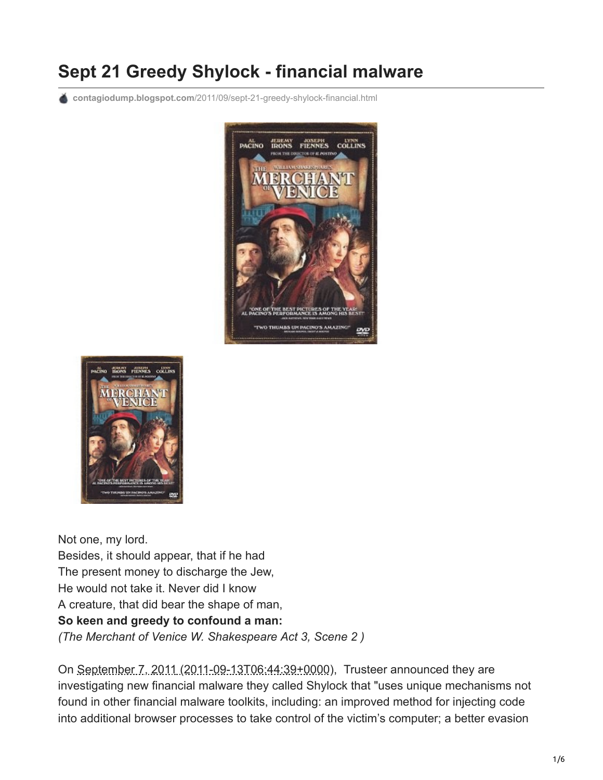# **Sept 21 Greedy Shylock - financial malware**

**contagiodump.blogspot.com**[/2011/09/sept-21-greedy-shylock-financial.html](http://contagiodump.blogspot.com/2011/09/sept-21-greedy-shylock-financial.html)





Not one, my lord. Besides, it should appear, that if he had The present money to discharge the Jew, He would not take it. Never did I know A creature, that did bear the shape of man, **So keen and greedy to confound a man:** *(The Merchant of Venice W. Shakespeare Act 3, Scene 2 )*

On September 7, 2011 (2011-09-13T06:44:39+0000), Trusteer announced they are investigating new financial malware they called Shylock that "uses unique mechanisms not found in other financial malware toolkits, including: an improved method for injecting code into additional browser processes to take control of the victim's computer; a better evasion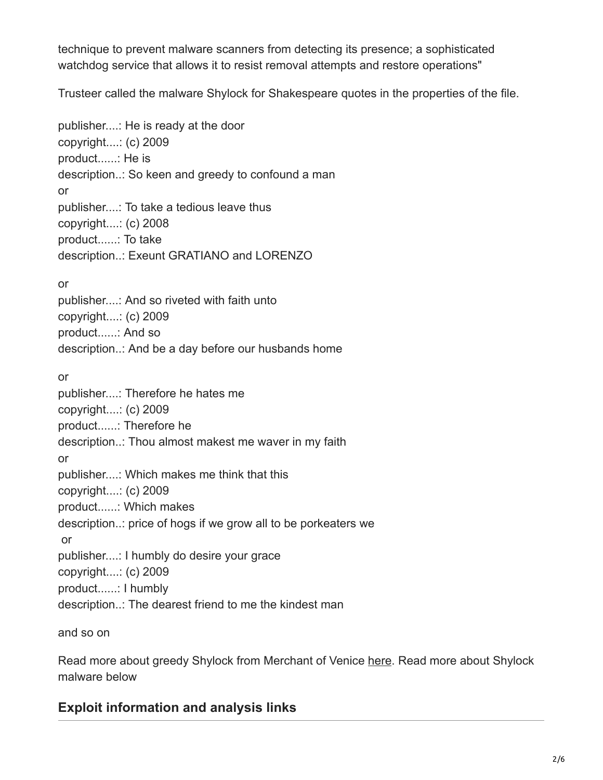technique to prevent malware scanners from detecting its presence; a sophisticated watchdog service that allows it to resist removal attempts and restore operations"

Trusteer called the malware Shylock for Shakespeare quotes in the properties of the file.

publisher....: He is ready at the door copyright....: (c) 2009 product......: He is description..: So keen and greedy to confound a man or publisher....: To take a tedious leave thus copyright....: (c) 2008 product......: To take description..: Exeunt GRATIANO and LORENZO or publisher....: And so riveted with faith unto copyright....: (c) 2009 product......: And so description..: And be a day before our husbands home or publisher....: Therefore he hates me copyright....: (c) 2009 product......: Therefore he description..: Thou almost makest me waver in my faith or publisher....: Which makes me think that this copyright....: (c) 2009 product......: Which makes description..: price of hogs if we grow all to be porkeaters we or publisher....: I humbly do desire your grace copyright....: (c) 2009 product......: I humbly description..: The dearest friend to me the kindest man

and so on

Read more about greedy Shylock from Merchant of Venice [here.](http://books.google.com/books?id=LbQVy4jbQI4C&pg=PA197&lpg=PA197&dq=shylock+So+keen+and+greedy+to+confound+a+man&source=bl&ots=nDoIxTG1CZ&sig=_s5d-4IidbHWPdu4hq0b1v8lMAU&hl=en&ei=MFF6TqDKBqXK0AHVmuDoDg&sa=X&oi=book_result&ct=result&resnum=4&ved=0CC0Q6AEwAw#v=onepage&q=shylock%20So%20keen%20and%20greedy%20to%20confound%20a%20man&f=false) Read more about Shylock malware below

## **Exploit information and analysis links**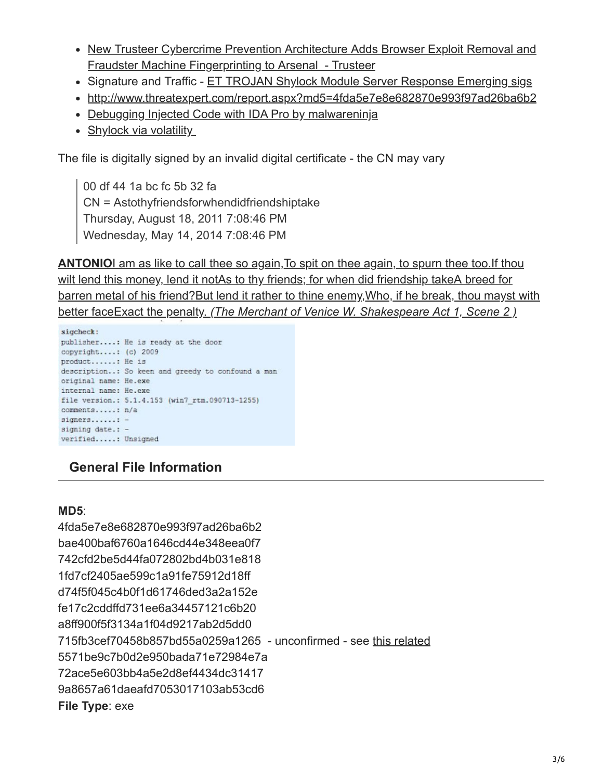- [New Trusteer Cybercrime Prevention Architecture Adds Browser Exploit Removal and](http://www.trusteer.com/company/press/new-trusteer-cybercrime-prevention-architecture-adds-browser-exploit-removal-and-fraud) Fraudster Machine Fingerprinting to Arsenal - Trusteer
- Signature and Traffic [ET TROJAN Shylock Module Server Response Emerging sigs](http://article.gmane.org/gmane.comp.security.ids.snort.emerging-sigs/12975/match=shylock)
- <http://www.threatexpert.com/report.aspx?md5=4fda5e7e8e682870e993f97ad26ba6b2>
- [Debugging Injected Code with IDA Pro by malwareninja](http://malwarereversing.wordpress.com/2011/09/27/debugging-injected-code-with-ida-pro/)
- Shylock via volatility

The file is digitally signed by an invalid digital certificate - the CN may vary

00 df 44 1a bc fc 5b 32 fa CN = Astothyfriendsforwhendidfriendshiptake Thursday, August 18, 2011 7:08:46 PM Wednesday, May 14, 2014 7:08:46 PM

**[ANTONIO](http://www.blogger.com/post-edit.g?blogID=7885177434994542510&postID=4242220369797629475)**I am as like to call thee so again, To spit on thee again, to spurn thee too. If thou [wilt lend this money, lend it notAs to thy friends; for when did friendship takeA breed for](http://www.blogger.com/post-edit.g?blogID=7885177434994542510&postID=4242220369797629475) barren metal of his friend?But lend it rather to thine enemy, Who, if he break, thou mayst with better face[Exact the penalty.](http://www.blogger.com/post-edit.g?blogID=7885177434994542510&postID=4242220369797629475) *[\(The Merchant of Venice W. Shakespeare Act 1, Scene 2 \)](http://www.blogger.com/post-edit.g?blogID=7885177434994542510&postID=4242220369797629475)*

```
sigcheck:
publisher....: He is ready at the door
copyright....: (c) 2009
product......: He is
description..: So keen and greedy to confound a man
original name: He.exe
internal name: He.exe
file version.: 5.1.4.153 (win7_rtm.090713-1255)
comments.....: n/a
signers......: -
signing date.: -
verified.....: Unsigned
```
# **General File Information**

#### **MD5**:

4fda5e7e8e682870e993f97ad26ba6b2 bae400baf6760a1646cd44e348eea0f7 742cfd2be5d44fa072802bd4b031e818 1fd7cf2405ae599c1a91fe75912d18ff d74f5f045c4b0f1d61746ded3a2a152e fe17c2cddffd731ee6a34457121c6b20 a8ff900f5f3134a1f04d9217ab2d5dd0 715fb3cef70458b857bd55a0259a1265 - unconfirmed - see [this related](http://www.virustotal.com/file-scan/report.html?id=adc9c97479ccbdaaff7e90666164b5e79d2527235e73937456cb49fae1dab86d-1315278260) 5571be9c7b0d2e950bada71e72984e7a 72ace5e603bb4a5e2d8ef4434dc31417 9a8657a61daeafd7053017103ab53cd6 **File Type**: exe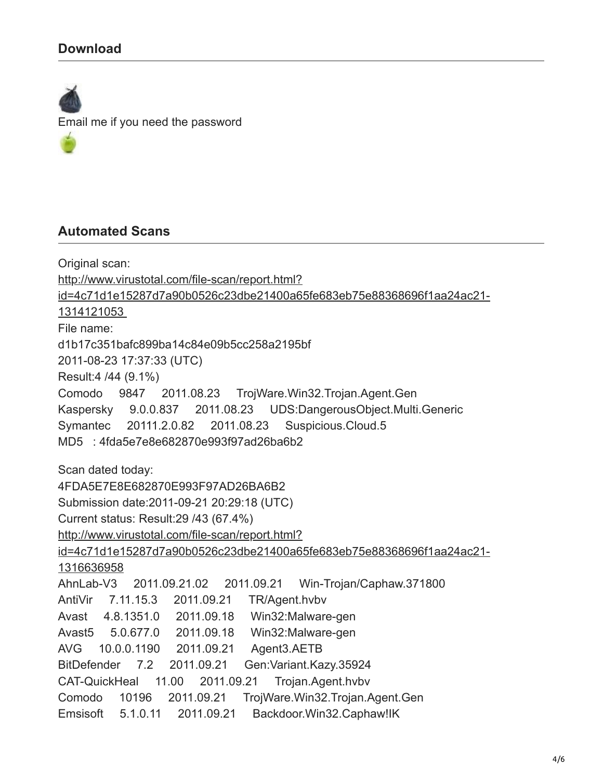### **Download**

Email me if you need the password

#### **Automated Scans**

Original scan: http://www.virustotal.com/file-scan/report.html? [id=4c71d1e15287d7a90b0526c23dbe21400a65fe683eb75e88368696f1aa24ac21-](http://www.virustotal.com/file-scan/report.html?id=4c71d1e15287d7a90b0526c23dbe21400a65fe683eb75e88368696f1aa24ac21-1314121053) 1314121053 File name: d1b17c351bafc899ba14c84e09b5cc258a2195bf 2011-08-23 17:37:33 (UTC) Result:4 /44 (9.1%) Comodo 9847 2011.08.23 TrojWare.Win32.Trojan.Agent.Gen Kaspersky 9.0.0.837 2011.08.23 UDS:DangerousObject.Multi.Generic Symantec 20111.2.0.82 2011.08.23 Suspicious.Cloud.5 MD5 : 4fda5e7e8e682870e993f97ad26ba6b2 Scan dated today: 4FDA5E7E8E682870E993F97AD26BA6B2 Submission date:2011-09-21 20:29:18 (UTC) Current status: Result:29 /43 (67.4%) http://www.virustotal.com/file-scan/report.html? [id=4c71d1e15287d7a90b0526c23dbe21400a65fe683eb75e88368696f1aa24ac21-](http://www.virustotal.com/file-scan/report.html?id=4c71d1e15287d7a90b0526c23dbe21400a65fe683eb75e88368696f1aa24ac21-1316636958) 1316636958 AhnLab-V3 2011.09.21.02 2011.09.21 Win-Trojan/Caphaw.371800 AntiVir 7.11.15.3 2011.09.21 TR/Agent.hvbv Avast 4.8.1351.0 2011.09.18 Win32:Malware-gen Avast5 5.0.677.0 2011.09.18 Win32:Malware-gen AVG 10.0.0.1190 2011.09.21 Agent3.AETB BitDefender 7.2 2011.09.21 Gen:Variant.Kazy.35924 CAT-QuickHeal 11.00 2011.09.21 Trojan.Agent.hvbv Comodo 10196 2011.09.21 TrojWare.Win32.Trojan.Agent.Gen Emsisoft 5.1.0.11 2011.09.21 Backdoor.Win32.Caphaw!IK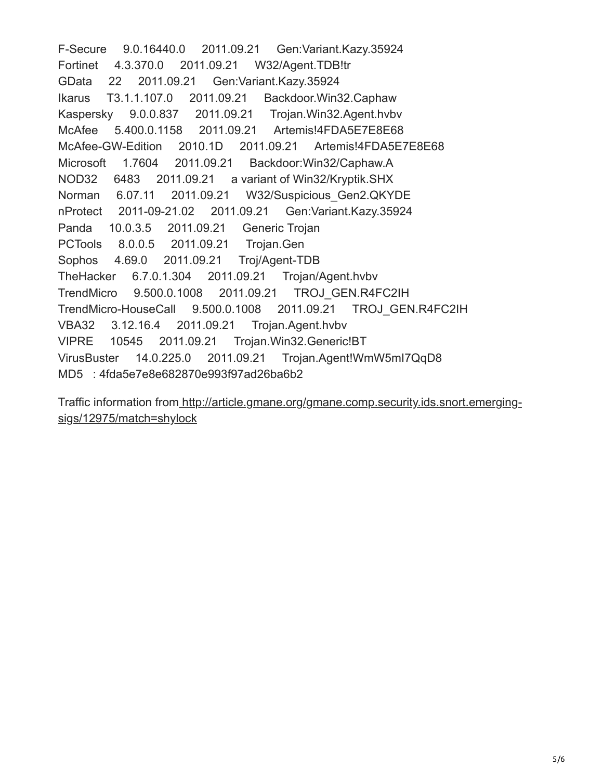F-Secure 9.0.16440.0 2011.09.21 Gen:Variant.Kazy.35924 Fortinet 4.3.370.0 2011.09.21 W32/Agent.TDB!tr GData 22 2011.09.21 Gen:Variant.Kazy.35924 Ikarus T3.1.1.107.0 2011.09.21 Backdoor.Win32.Caphaw Kaspersky 9.0.0.837 2011.09.21 Trojan.Win32.Agent.hvbv McAfee 5.400.0.1158 2011.09.21 Artemis!4FDA5E7E8E68 McAfee-GW-Edition 2010.1D 2011.09.21 Artemis!4FDA5E7E8E68 Microsoft 1.7604 2011.09.21 Backdoor:Win32/Caphaw.A NOD32 6483 2011.09.21 a variant of Win32/Kryptik.SHX Norman 6.07.11 2011.09.21 W32/Suspicious\_Gen2.QKYDE nProtect 2011-09-21.02 2011.09.21 Gen:Variant.Kazy.35924 Panda 10.0.3.5 2011.09.21 Generic Trojan PCTools 8.0.0.5 2011.09.21 Trojan.Gen Sophos 4.69.0 2011.09.21 Troj/Agent-TDB TheHacker 6.7.0.1.304 2011.09.21 Trojan/Agent.hvbv TrendMicro 9.500.0.1008 2011.09.21 TROJ\_GEN.R4FC2IH TrendMicro-HouseCall 9.500.0.1008 2011.09.21 TROJ\_GEN.R4FC2IH VBA32 3.12.16.4 2011.09.21 Trojan.Agent.hvbv VIPRE 10545 2011.09.21 Trojan.Win32.Generic!BT VirusBuster 14.0.225.0 2011.09.21 Trojan.Agent!WmW5mI7QqD8 MD5 : 4fda5e7e8e682870e993f97ad26ba6b2

[Traffic information from http://article.gmane.org/gmane.comp.security.ids.snort.emerging](http://article.gmane.org/gmane.comp.security.ids.snort.emerging-sigs/12975/match=shylock)sigs/12975/match=shylock